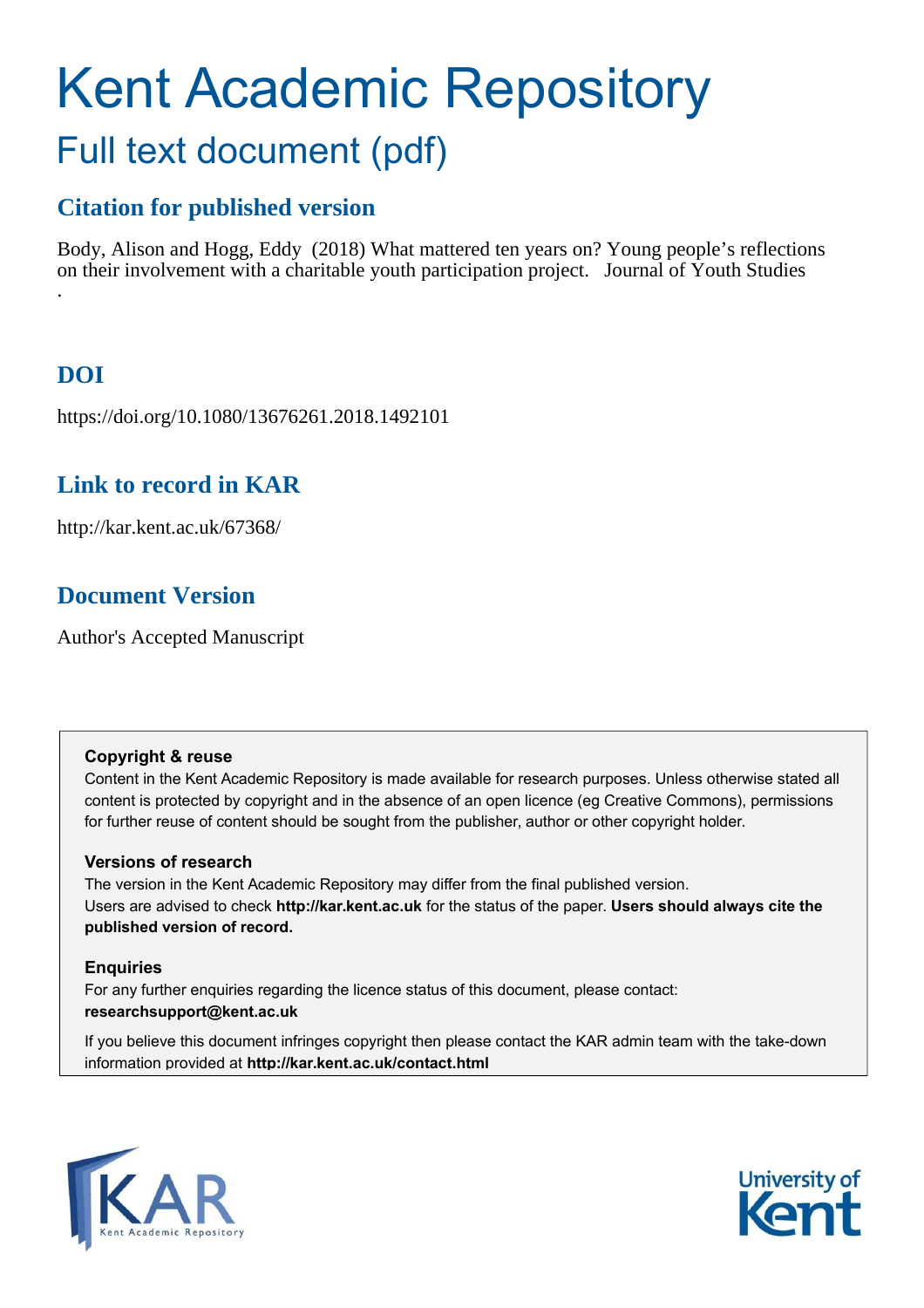# Kent Academic Repository Full text document (pdf)

# **Citation for published version**

Body, Alison and Hogg, Eddy (2018) What mattered ten years on? Young people's reflections on their involvement with a charitable youth participation project. Journal of Youth Studies .

# **DOI**

https://doi.org/10.1080/13676261.2018.1492101

# **Link to record in KAR**

http://kar.kent.ac.uk/67368/

# **Document Version**

Author's Accepted Manuscript

## **Copyright & reuse**

Content in the Kent Academic Repository is made available for research purposes. Unless otherwise stated all content is protected by copyright and in the absence of an open licence (eg Creative Commons), permissions for further reuse of content should be sought from the publisher, author or other copyright holder.

## **Versions of research**

The version in the Kent Academic Repository may differ from the final published version. Users are advised to check **http://kar.kent.ac.uk** for the status of the paper. **Users should always cite the published version of record.**

## **Enquiries**

For any further enquiries regarding the licence status of this document, please contact: **researchsupport@kent.ac.uk**

If you believe this document infringes copyright then please contact the KAR admin team with the take-down information provided at **http://kar.kent.ac.uk/contact.html**



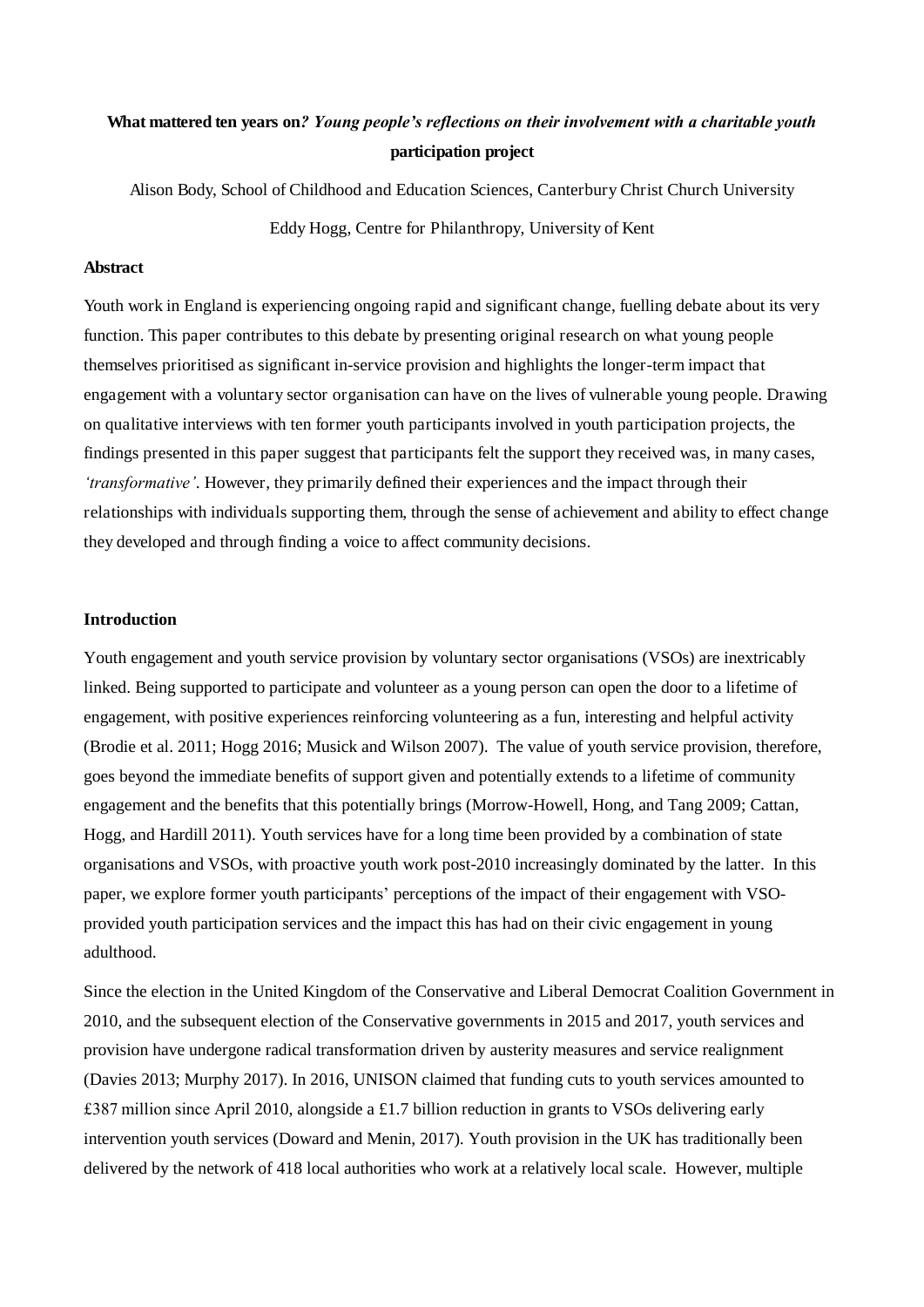## **What mattered ten years on***? Young people's reflections on their involvement with a charitable youth*  **participation project**

Alison Body, School of Childhood and Education Sciences, Canterbury Christ Church University

Eddy Hogg, Centre for Philanthropy, University of Kent

#### **Abstract**

Youth work in England is experiencing ongoing rapid and significant change, fuelling debate about its very function. This paper contributes to this debate by presenting original research on what young people themselves prioritised as significant in-service provision and highlights the longer-term impact that engagement with a voluntary sector organisation can have on the lives of vulnerable young people. Drawing on qualitative interviews with ten former youth participants involved in youth participation projects, the findings presented in this paper suggest that participants felt the support they received was, in many cases, *'transformative'*. However, they primarily defined their experiences and the impact through their relationships with individuals supporting them, through the sense of achievement and ability to effect change they developed and through finding a voice to affect community decisions.

#### **Introduction**

Youth engagement and youth service provision by voluntary sector organisations (VSOs) are inextricably linked. Being supported to participate and volunteer as a young person can open the door to a lifetime of engagement, with positive experiences reinforcing volunteering as a fun, interesting and helpful activity (Brodie et al. 2011; Hogg 2016; Musick and Wilson 2007). The value of youth service provision, therefore, goes beyond the immediate benefits of support given and potentially extends to a lifetime of community engagement and the benefits that this potentially brings (Morrow-Howell, Hong, and Tang 2009; Cattan, Hogg, and Hardill 2011). Youth services have for a long time been provided by a combination of state organisations and VSOs, with proactive youth work post-2010 increasingly dominated by the latter. In this paper, we explore former youth participants' perceptions of the impact of their engagement with VSOprovided youth participation services and the impact this has had on their civic engagement in young adulthood.

Since the election in the United Kingdom of the Conservative and Liberal Democrat Coalition Government in 2010, and the subsequent election of the Conservative governments in 2015 and 2017, youth services and provision have undergone radical transformation driven by austerity measures and service realignment (Davies 2013; Murphy 2017). In 2016, UNISON claimed that funding cuts to youth services amounted to  $£387$  million since April 2010, alongside a £1.7 billion reduction in grants to VSOs delivering early intervention youth services (Doward and Menin, 2017). Youth provision in the UK has traditionally been delivered by the network of 418 local authorities who work at a relatively local scale. However, multiple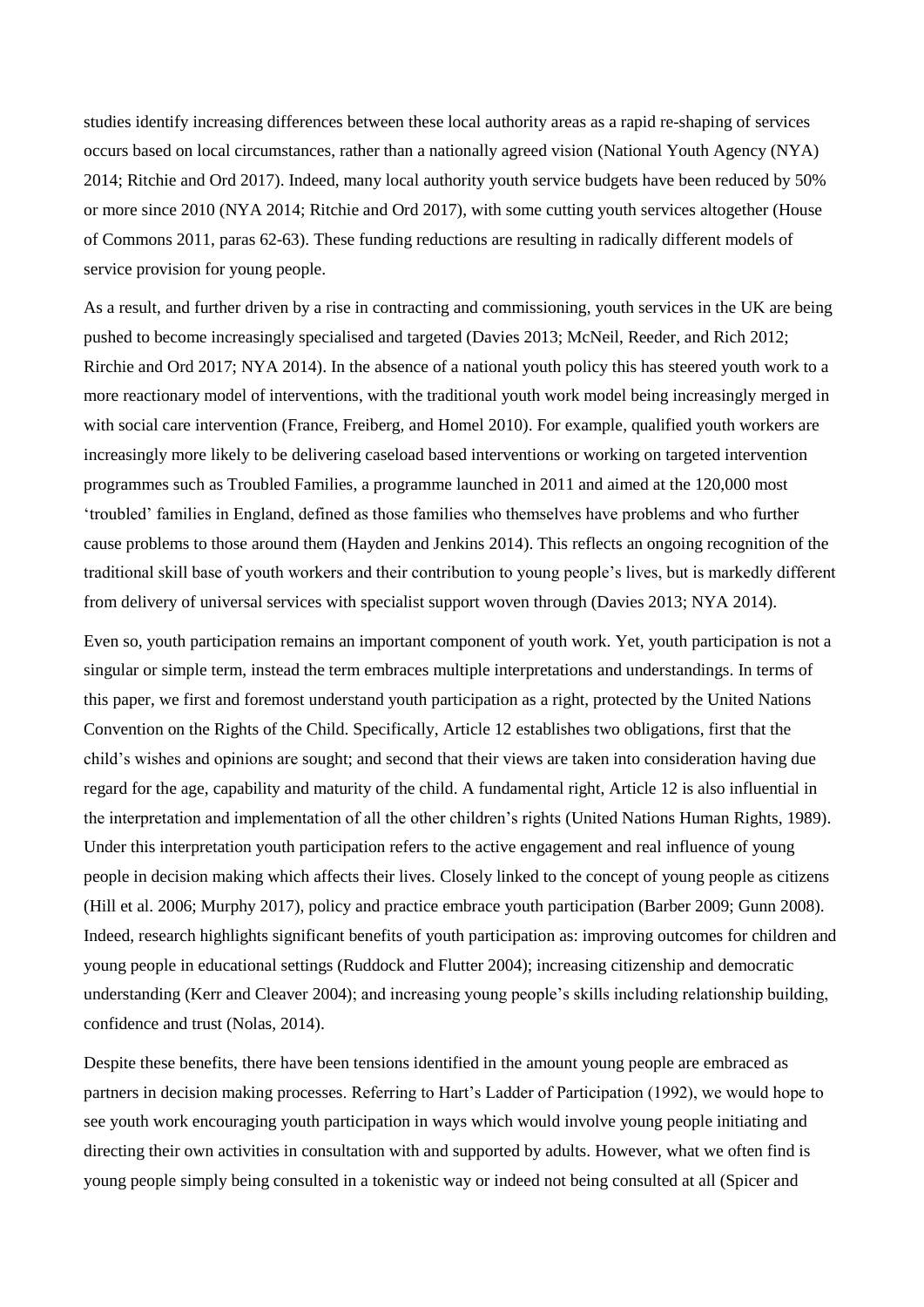studies identify increasing differences between these local authority areas as a rapid re-shaping of services occurs based on local circumstances, rather than a nationally agreed vision (National Youth Agency (NYA) 2014; Ritchie and Ord 2017). Indeed, many local authority youth service budgets have been reduced by 50% or more since 2010 (NYA 2014; Ritchie and Ord 2017), with some cutting youth services altogether (House of Commons 2011, paras 62-63). These funding reductions are resulting in radically different models of service provision for young people.

As a result, and further driven by a rise in contracting and commissioning, youth services in the UK are being pushed to become increasingly specialised and targeted (Davies 2013; McNeil, Reeder, and Rich 2012; Rirchie and Ord 2017; NYA 2014). In the absence of a national youth policy this has steered youth work to a more reactionary model of interventions, with the traditional youth work model being increasingly merged in with social care intervention (France, Freiberg, and Homel 2010). For example, qualified youth workers are increasingly more likely to be delivering caseload based interventions or working on targeted intervention programmes such as Troubled Families, a programme launched in 2011 and aimed at the 120,000 most 'troubled' families in England, defined as those families who themselves have problems and who further cause problems to those around them (Hayden and Jenkins 2014). This reflects an ongoing recognition of the traditional skill base of youth workers and their contribution to young people's lives, but is markedly different from delivery of universal services with specialist support woven through (Davies 2013; NYA 2014).

Even so, youth participation remains an important component of youth work. Yet, youth participation is not a singular or simple term, instead the term embraces multiple interpretations and understandings. In terms of this paper, we first and foremost understand youth participation as a right, protected by the United Nations Convention on the Rights of the Child. Specifically, Article 12 establishes two obligations, first that the child's wishes and opinions are sought; and second that their views are taken into consideration having due regard for the age, capability and maturity of the child. A fundamental right, Article 12 is also influential in the interpretation and implementation of all the other children's rights (United Nations Human Rights, 1989). Under this interpretation youth participation refers to the active engagement and real influence of young people in decision making which affects their lives. Closely linked to the concept of young people as citizens (Hill et al. 2006; Murphy 2017), policy and practice embrace youth participation (Barber 2009; Gunn 2008). Indeed, research highlights significant benefits of youth participation as: improving outcomes for children and young people in educational settings (Ruddock and Flutter 2004); increasing citizenship and democratic understanding (Kerr and Cleaver 2004); and increasing young people's skills including relationship building, confidence and trust (Nolas, 2014).

Despite these benefits, there have been tensions identified in the amount young people are embraced as partners in decision making processes. Referring to Hart's Ladder of Participation (1992), we would hope to see youth work encouraging youth participation in ways which would involve young people initiating and directing their own activities in consultation with and supported by adults. However, what we often find is young people simply being consulted in a tokenistic way or indeed not being consulted at all (Spicer and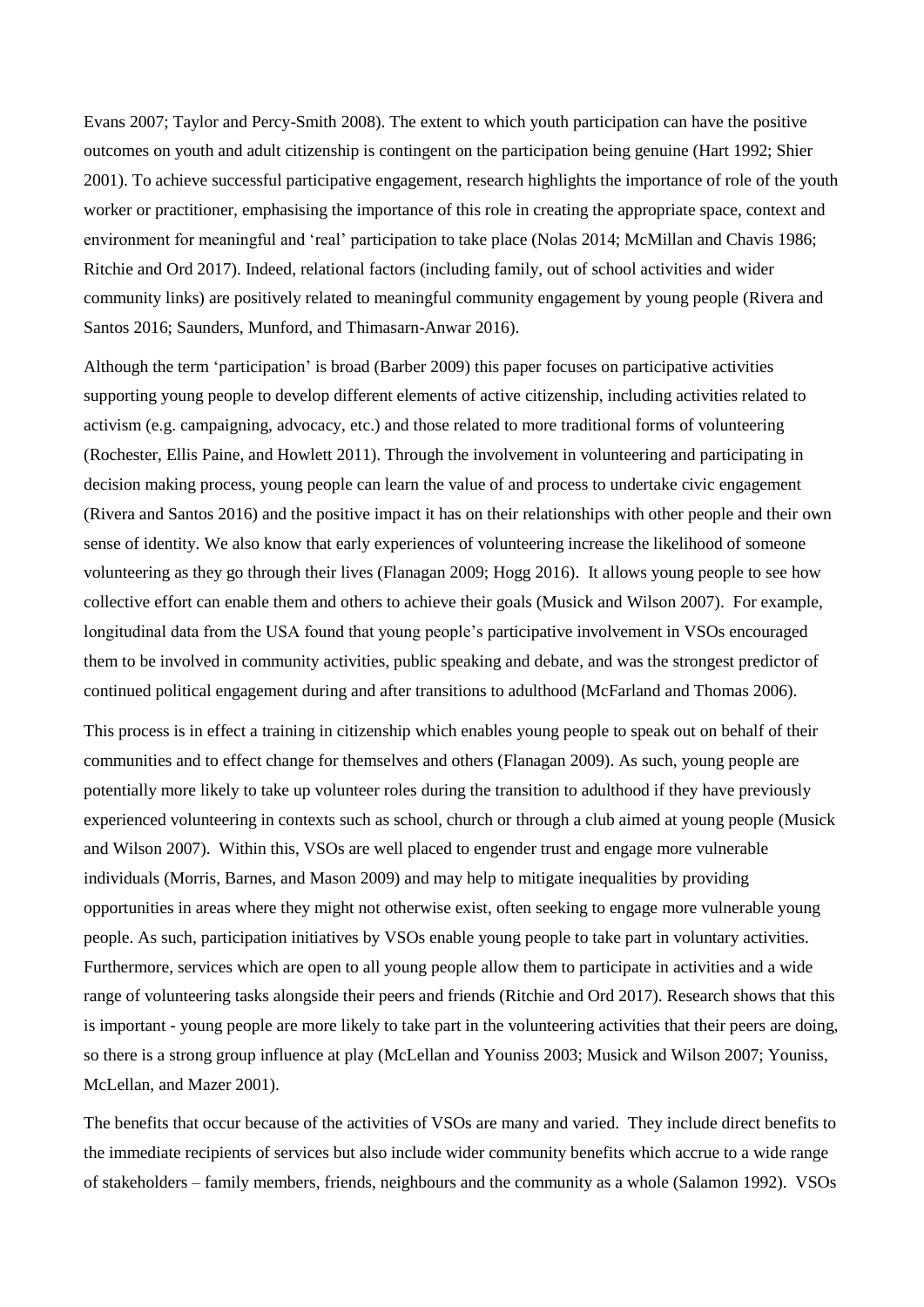Evans 2007; Taylor and Percy-Smith 2008). The extent to which youth participation can have the positive outcomes on youth and adult citizenship is contingent on the participation being genuine (Hart 1992; Shier 2001). To achieve successful participative engagement, research highlights the importance of role of the youth worker or practitioner, emphasising the importance of this role in creating the appropriate space, context and environment for meaningful and 'real' participation to take place (Nolas 2014; McMillan and Chavis 1986; Ritchie and Ord 2017). Indeed, relational factors (including family, out of school activities and wider community links) are positively related to meaningful community engagement by young people (Rivera and Santos 2016; Saunders, Munford, and Thimasarn-Anwar 2016).

Although the term 'participation' is broad (Barber 2009) this paper focuses on participative activities supporting young people to develop different elements of active citizenship, including activities related to activism (e.g. campaigning, advocacy, etc.) and those related to more traditional forms of volunteering (Rochester, Ellis Paine, and Howlett 2011). Through the involvement in volunteering and participating in decision making process, young people can learn the value of and process to undertake civic engagement (Rivera and Santos 2016) and the positive impact it has on their relationships with other people and their own sense of identity. We also know that early experiences of volunteering increase the likelihood of someone volunteering as they go through their lives (Flanagan 2009; Hogg 2016). It allows young people to see how collective effort can enable them and others to achieve their goals (Musick and Wilson 2007). For example, longitudinal data from the USA found that young people's participative involvement in VSOs encouraged them to be involved in community activities, public speaking and debate, and was the strongest predictor of continued political engagement during and after transitions to adulthood (McFarland and Thomas 2006).

This process is in effect a training in citizenship which enables young people to speak out on behalf of their communities and to effect change for themselves and others (Flanagan 2009). As such, young people are potentially more likely to take up volunteer roles during the transition to adulthood if they have previously experienced volunteering in contexts such as school, church or through a club aimed at young people (Musick and Wilson 2007). Within this, VSOs are well placed to engender trust and engage more vulnerable individuals (Morris, Barnes, and Mason 2009) and may help to mitigate inequalities by providing opportunities in areas where they might not otherwise exist, often seeking to engage more vulnerable young people. As such, participation initiatives by VSOs enable young people to take part in voluntary activities. Furthermore, services which are open to all young people allow them to participate in activities and a wide range of volunteering tasks alongside their peers and friends (Ritchie and Ord 2017). Research shows that this is important - young people are more likely to take part in the volunteering activities that their peers are doing, so there is a strong group influence at play (McLellan and Youniss 2003; Musick and Wilson 2007; Youniss, McLellan, and Mazer 2001).

The benefits that occur because of the activities of VSOs are many and varied. They include direct benefits to the immediate recipients of services but also include wider community benefits which accrue to a wide range of stakeholders – family members, friends, neighbours and the community as a whole (Salamon 1992). VSOs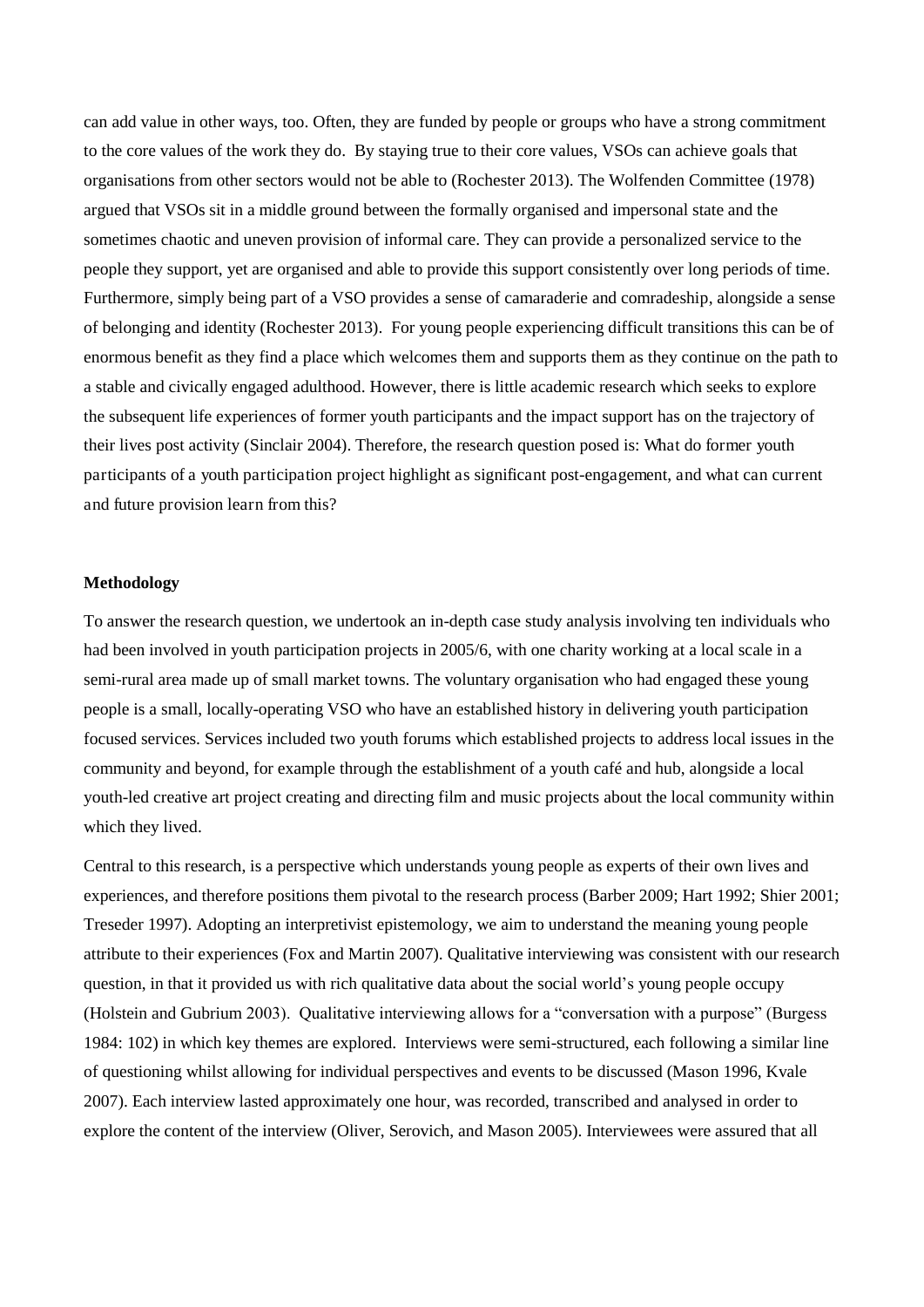can add value in other ways, too. Often, they are funded by people or groups who have a strong commitment to the core values of the work they do. By staying true to their core values, VSOs can achieve goals that organisations from other sectors would not be able to (Rochester 2013). The Wolfenden Committee (1978) argued that VSOs sit in a middle ground between the formally organised and impersonal state and the sometimes chaotic and uneven provision of informal care. They can provide a personalized service to the people they support, yet are organised and able to provide this support consistently over long periods of time. Furthermore, simply being part of a VSO provides a sense of camaraderie and comradeship, alongside a sense of belonging and identity (Rochester 2013). For young people experiencing difficult transitions this can be of enormous benefit as they find a place which welcomes them and supports them as they continue on the path to a stable and civically engaged adulthood. However, there is little academic research which seeks to explore the subsequent life experiences of former youth participants and the impact support has on the trajectory of their lives post activity (Sinclair 2004). Therefore, the research question posed is: What do former youth participants of a youth participation project highlight as significant post-engagement, and what can current and future provision learn from this?

#### **Methodology**

To answer the research question, we undertook an in-depth case study analysis involving ten individuals who had been involved in youth participation projects in 2005/6, with one charity working at a local scale in a semi-rural area made up of small market towns. The voluntary organisation who had engaged these young people is a small, locally-operating VSO who have an established history in delivering youth participation focused services. Services included two youth forums which established projects to address local issues in the community and beyond, for example through the establishment of a youth café and hub, alongside a local youth-led creative art project creating and directing film and music projects about the local community within which they lived.

Central to this research, is a perspective which understands young people as experts of their own lives and experiences, and therefore positions them pivotal to the research process (Barber 2009; Hart 1992; Shier 2001; Treseder 1997). Adopting an interpretivist epistemology, we aim to understand the meaning young people attribute to their experiences (Fox and Martin 2007). Qualitative interviewing was consistent with our research question, in that it provided us with rich qualitative data about the social world's young people occupy (Holstein and Gubrium 2003). Qualitative interviewing allows for a "conversation with a purpose" (Burgess 1984: 102) in which key themes are explored. Interviews were semi-structured, each following a similar line of questioning whilst allowing for individual perspectives and events to be discussed (Mason 1996, Kvale 2007). Each interview lasted approximately one hour, was recorded, transcribed and analysed in order to explore the content of the interview (Oliver, Serovich, and Mason 2005). Interviewees were assured that all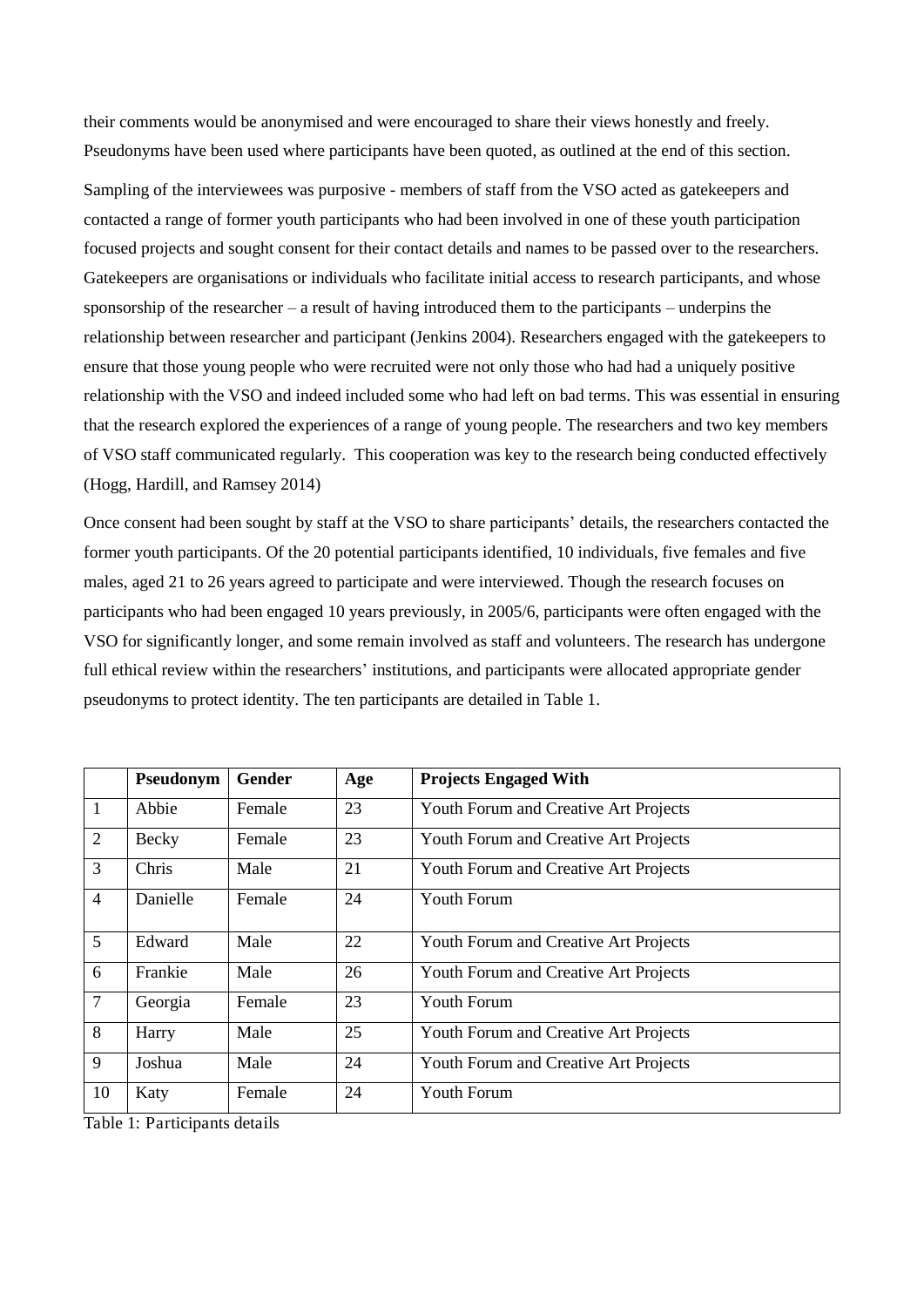their comments would be anonymised and were encouraged to share their views honestly and freely. Pseudonyms have been used where participants have been quoted, as outlined at the end of this section.

Sampling of the interviewees was purposive - members of staff from the VSO acted as gatekeepers and contacted a range of former youth participants who had been involved in one of these youth participation focused projects and sought consent for their contact details and names to be passed over to the researchers. Gatekeepers are organisations or individuals who facilitate initial access to research participants, and whose sponsorship of the researcher – a result of having introduced them to the participants – underpins the relationship between researcher and participant (Jenkins 2004). Researchers engaged with the gatekeepers to ensure that those young people who were recruited were not only those who had had a uniquely positive relationship with the VSO and indeed included some who had left on bad terms. This was essential in ensuring that the research explored the experiences of a range of young people. The researchers and two key members of VSO staff communicated regularly. This cooperation was key to the research being conducted effectively (Hogg, Hardill, and Ramsey 2014)

Once consent had been sought by staff at the VSO to share participants' details, the researchers contacted the former youth participants. Of the 20 potential participants identified, 10 individuals, five females and five males, aged 21 to 26 years agreed to participate and were interviewed. Though the research focuses on participants who had been engaged 10 years previously, in 2005/6, participants were often engaged with the VSO for significantly longer, and some remain involved as staff and volunteers. The research has undergone full ethical review within the researchers' institutions, and participants were allocated appropriate gender pseudonyms to protect identity. The ten participants are detailed in Table 1.

|                | Pseudonym | Gender | Age | <b>Projects Engaged With</b>          |
|----------------|-----------|--------|-----|---------------------------------------|
| $\mathbf{1}$   | Abbie     | Female | 23  | Youth Forum and Creative Art Projects |
| $\overline{2}$ | Becky     | Female | 23  | Youth Forum and Creative Art Projects |
| 3              | Chris     | Male   | 21  | Youth Forum and Creative Art Projects |
| $\overline{4}$ | Danielle  | Female | 24  | <b>Youth Forum</b>                    |
| 5              | Edward    | Male   | 22  | Youth Forum and Creative Art Projects |
| 6              | Frankie   | Male   | 26  | Youth Forum and Creative Art Projects |
| $\overline{7}$ | Georgia   | Female | 23  | <b>Youth Forum</b>                    |
| 8              | Harry     | Male   | 25  | Youth Forum and Creative Art Projects |
| 9              | Joshua    | Male   | 24  | Youth Forum and Creative Art Projects |
| 10             | Katy      | Female | 24  | <b>Youth Forum</b>                    |

Table 1: Participants details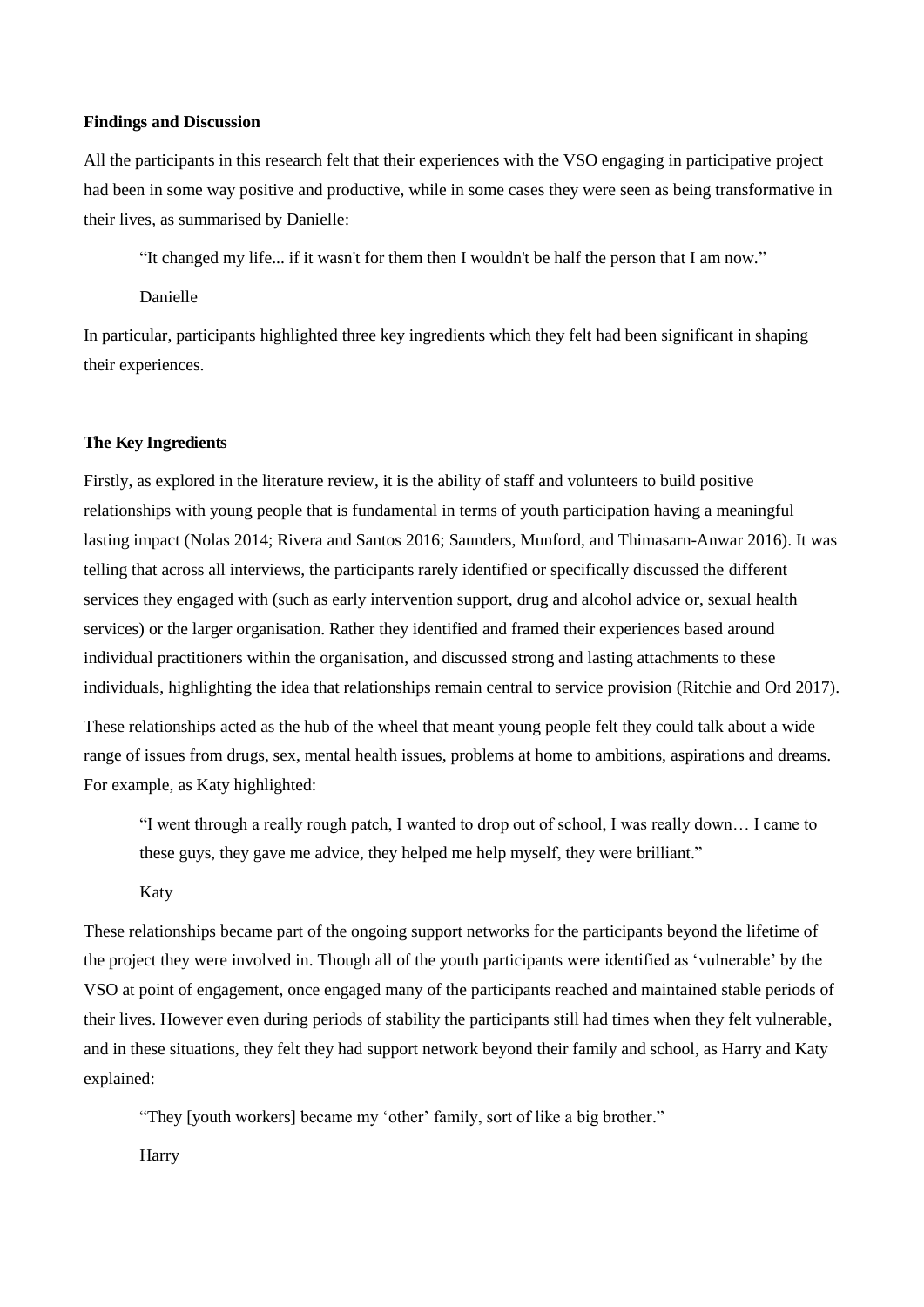#### **Findings and Discussion**

All the participants in this research felt that their experiences with the VSO engaging in participative project had been in some way positive and productive, while in some cases they were seen as being transformative in their lives, as summarised by Danielle:

"It changed my life... if it wasn't for them then I wouldn't be half the person that I am now."

Danielle

In particular, participants highlighted three key ingredients which they felt had been significant in shaping their experiences.

#### **The Key Ingredients**

Firstly, as explored in the literature review, it is the ability of staff and volunteers to build positive relationships with young people that is fundamental in terms of youth participation having a meaningful lasting impact (Nolas 2014; Rivera and Santos 2016; Saunders, Munford, and Thimasarn-Anwar 2016). It was telling that across all interviews, the participants rarely identified or specifically discussed the different services they engaged with (such as early intervention support, drug and alcohol advice or, sexual health services) or the larger organisation. Rather they identified and framed their experiences based around individual practitioners within the organisation, and discussed strong and lasting attachments to these individuals, highlighting the idea that relationships remain central to service provision (Ritchie and Ord 2017).

These relationships acted as the hub of the wheel that meant young people felt they could talk about a wide range of issues from drugs, sex, mental health issues, problems at home to ambitions, aspirations and dreams. For example, as Katy highlighted:

"I went through a really rough patch, I wanted to drop out of school, I was really down… I came to these guys, they gave me advice, they helped me help myself, they were brilliant."

#### Katy

These relationships became part of the ongoing support networks for the participants beyond the lifetime of the project they were involved in. Though all of the youth participants were identified as 'vulnerable' by the VSO at point of engagement, once engaged many of the participants reached and maintained stable periods of their lives. However even during periods of stability the participants still had times when they felt vulnerable, and in these situations, they felt they had support network beyond their family and school, as Harry and Katy explained:

"They [youth workers] became my 'other' family, sort of like a big brother."

Harry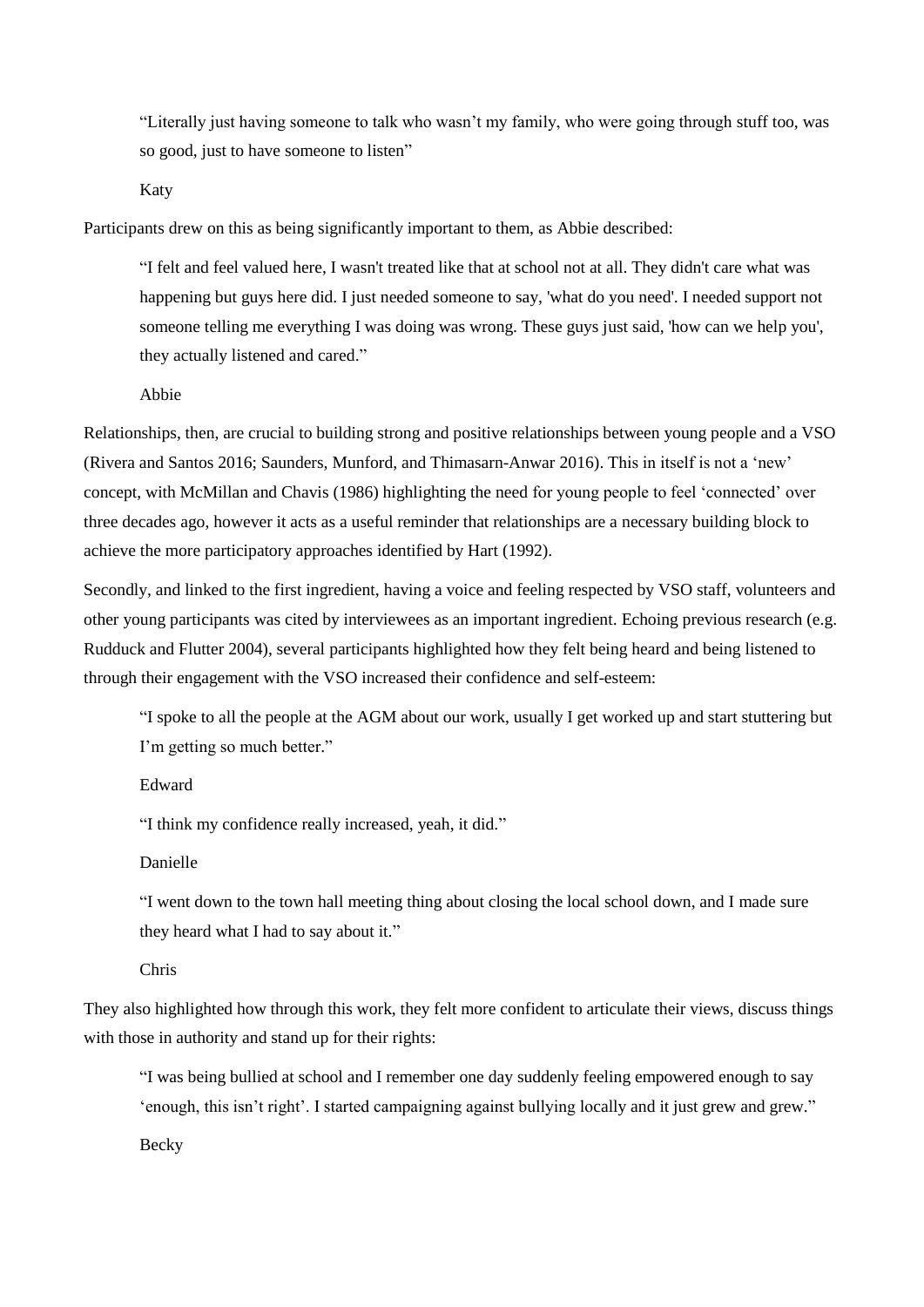"Literally just having someone to talk who wasn't my family, who were going through stuff too, was so good, just to have someone to listen"

Katy

Participants drew on this as being significantly important to them, as Abbie described:

"I felt and feel valued here, I wasn't treated like that at school not at all. They didn't care what was happening but guys here did. I just needed someone to say, 'what do you need'. I needed support not someone telling me everything I was doing was wrong. These guys just said, 'how can we help you', they actually listened and cared."

Abbie

Relationships, then, are crucial to building strong and positive relationships between young people and a VSO (Rivera and Santos 2016; Saunders, Munford, and Thimasarn-Anwar 2016). This in itself is not a 'new' concept, with McMillan and Chavis (1986) highlighting the need for young people to feel 'connected' over three decades ago, however it acts as a useful reminder that relationships are a necessary building block to achieve the more participatory approaches identified by Hart (1992).

Secondly, and linked to the first ingredient, having a voice and feeling respected by VSO staff, volunteers and other young participants was cited by interviewees as an important ingredient. Echoing previous research (e.g. Rudduck and Flutter 2004), several participants highlighted how they felt being heard and being listened to through their engagement with the VSO increased their confidence and self-esteem:

"I spoke to all the people at the AGM about our work, usually I get worked up and start stuttering but I'm getting so much better."

Edward

"I think my confidence really increased, yeah, it did."

Danielle

"I went down to the town hall meeting thing about closing the local school down, and I made sure they heard what I had to say about it."

#### Chris

They also highlighted how through this work, they felt more confident to articulate their views, discuss things with those in authority and stand up for their rights:

"I was being bullied at school and I remember one day suddenly feeling empowered enough to say 'enough, this isn't right'. I started campaigning against bullying locally and it just grew and grew."

Becky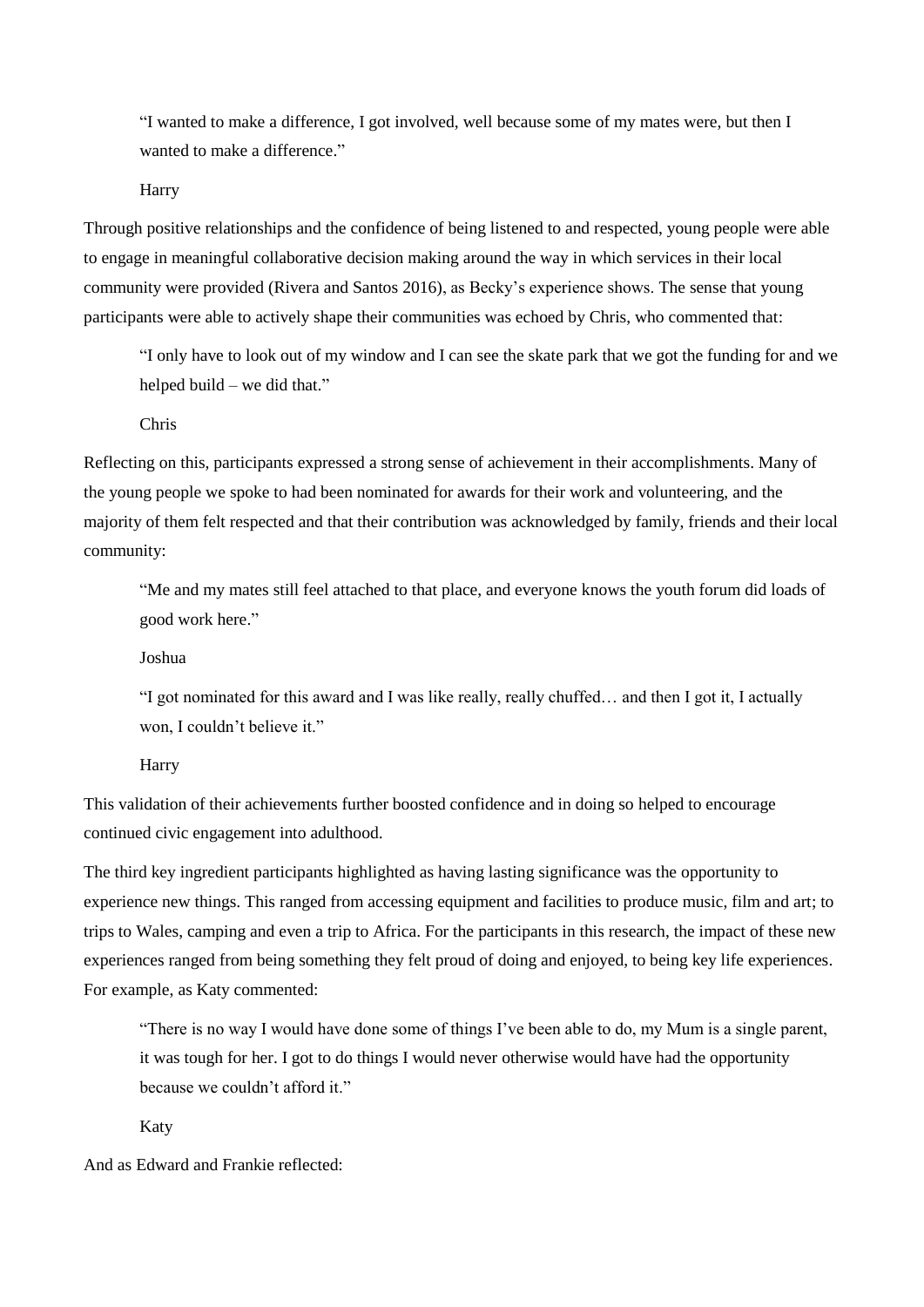"I wanted to make a difference, I got involved, well because some of my mates were, but then I wanted to make a difference."

Harry

Through positive relationships and the confidence of being listened to and respected, young people were able to engage in meaningful collaborative decision making around the way in which services in their local community were provided (Rivera and Santos 2016), as Becky's experience shows. The sense that young participants were able to actively shape their communities was echoed by Chris, who commented that:

"I only have to look out of my window and I can see the skate park that we got the funding for and we helped build – we did that."

Chris

Reflecting on this, participants expressed a strong sense of achievement in their accomplishments. Many of the young people we spoke to had been nominated for awards for their work and volunteering, and the majority of them felt respected and that their contribution was acknowledged by family, friends and their local community:

"Me and my mates still feel attached to that place, and everyone knows the youth forum did loads of good work here."

Joshua

"I got nominated for this award and I was like really, really chuffed… and then I got it, I actually won, I couldn't believe it."

Harry

This validation of their achievements further boosted confidence and in doing so helped to encourage continued civic engagement into adulthood.

The third key ingredient participants highlighted as having lasting significance was the opportunity to experience new things. This ranged from accessing equipment and facilities to produce music, film and art; to trips to Wales, camping and even a trip to Africa. For the participants in this research, the impact of these new experiences ranged from being something they felt proud of doing and enjoyed, to being key life experiences. For example, as Katy commented:

"There is no way I would have done some of things I've been able to do, my Mum is a single parent, it was tough for her. I got to do things I would never otherwise would have had the opportunity because we couldn't afford it."

Katy

And as Edward and Frankie reflected: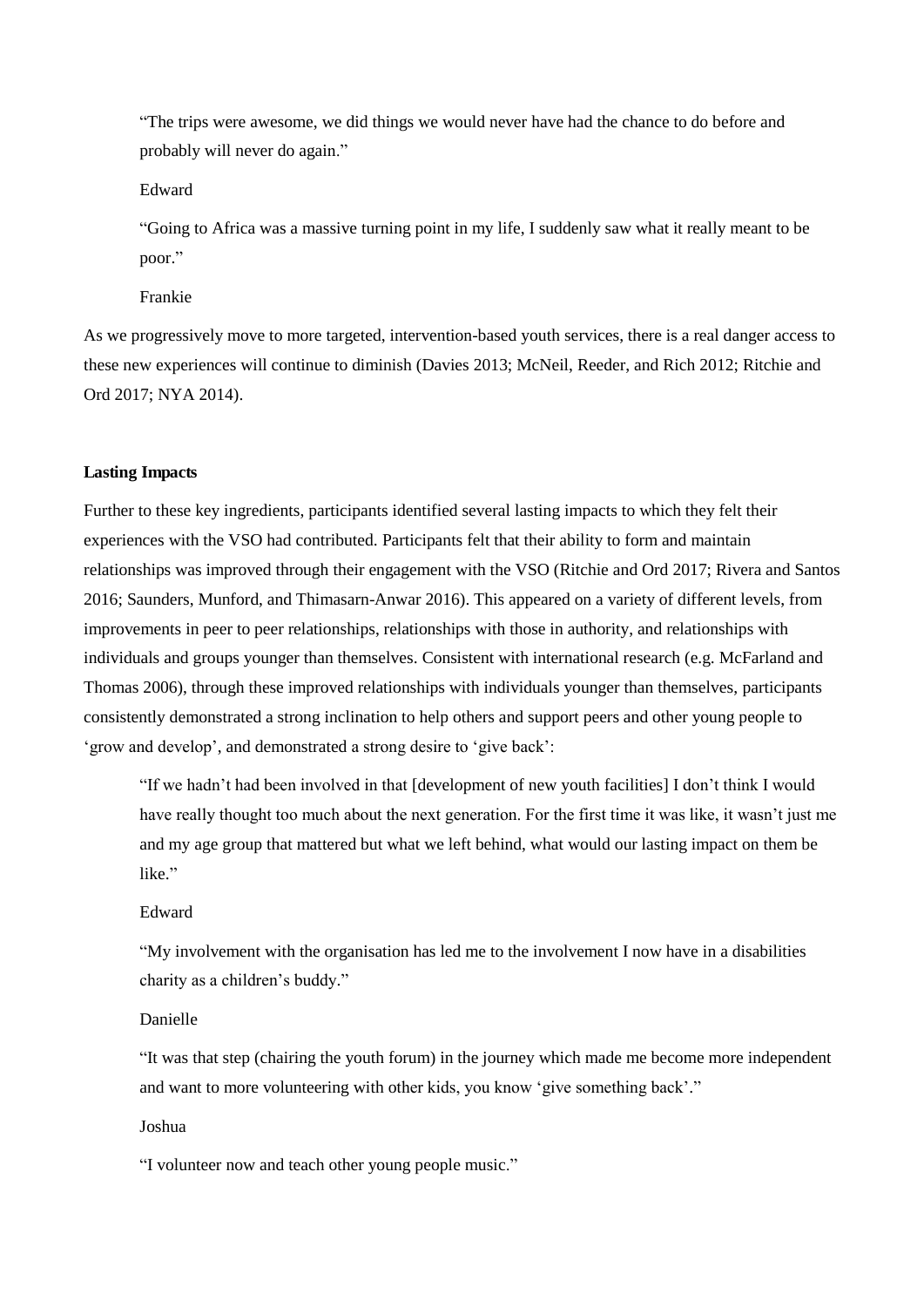"The trips were awesome, we did things we would never have had the chance to do before and probably will never do again."

Edward

"Going to Africa was a massive turning point in my life, I suddenly saw what it really meant to be poor."

Frankie

As we progressively move to more targeted, intervention-based youth services, there is a real danger access to these new experiences will continue to diminish (Davies 2013; McNeil, Reeder, and Rich 2012; Ritchie and Ord 2017; NYA 2014).

#### **Lasting Impacts**

Further to these key ingredients, participants identified several lasting impacts to which they felt their experiences with the VSO had contributed. Participants felt that their ability to form and maintain relationships was improved through their engagement with the VSO (Ritchie and Ord 2017; Rivera and Santos 2016; Saunders, Munford, and Thimasarn-Anwar 2016). This appeared on a variety of different levels, from improvements in peer to peer relationships, relationships with those in authority, and relationships with individuals and groups younger than themselves. Consistent with international research (e.g. McFarland and Thomas 2006), through these improved relationships with individuals younger than themselves, participants consistently demonstrated a strong inclination to help others and support peers and other young people to 'grow and develop', and demonstrated a strong desire to 'give back':

"If we hadn't had been involved in that [development of new youth facilities] I don't think I would have really thought too much about the next generation. For the first time it was like, it wasn't just me and my age group that mattered but what we left behind, what would our lasting impact on them be like."

Edward

"My involvement with the organisation has led me to the involvement I now have in a disabilities charity as a children's buddy."

#### Danielle

"It was that step (chairing the youth forum) in the journey which made me become more independent and want to more volunteering with other kids, you know 'give something back'."

Joshua

"I volunteer now and teach other young people music."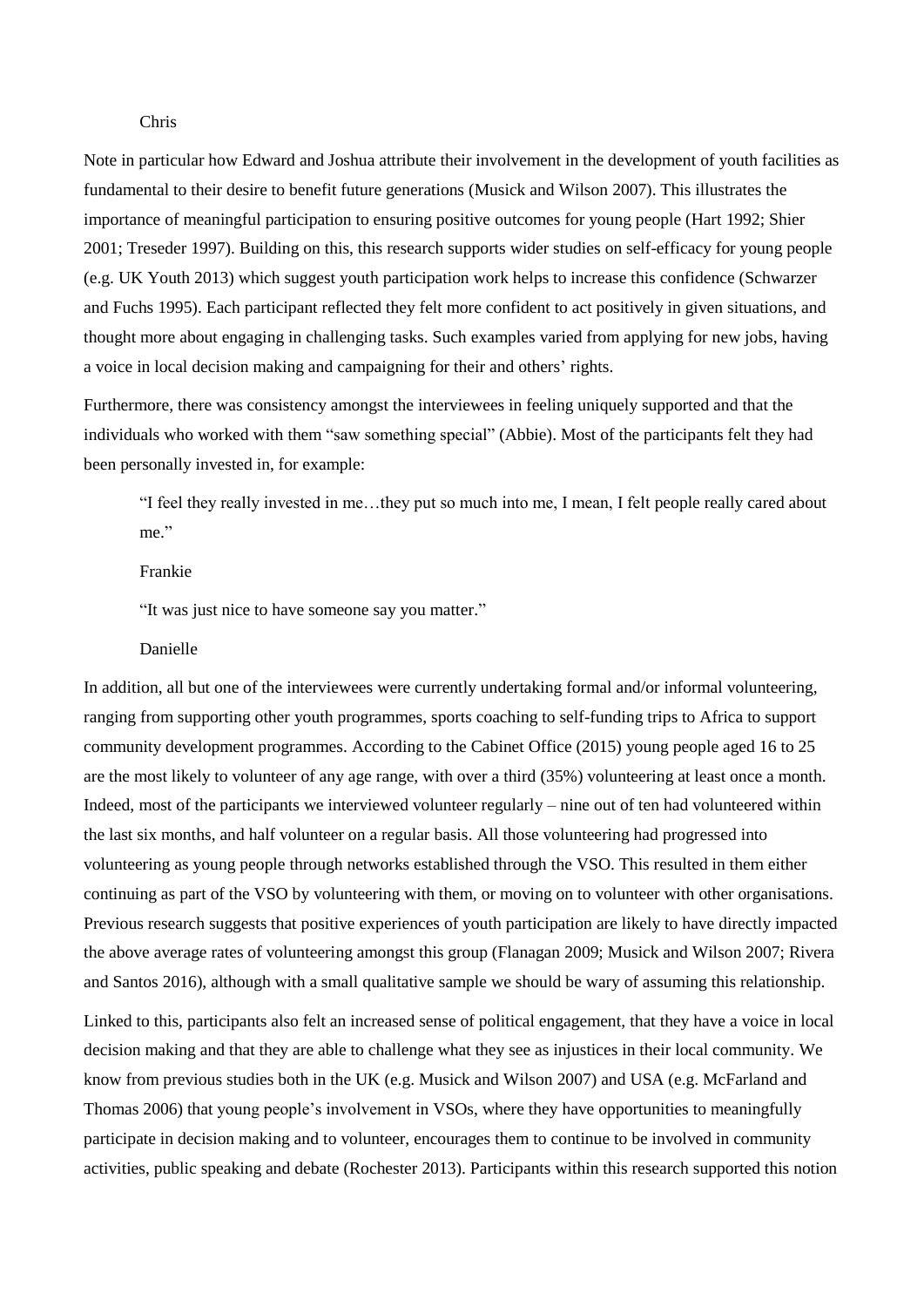#### Chris

Note in particular how Edward and Joshua attribute their involvement in the development of youth facilities as fundamental to their desire to benefit future generations (Musick and Wilson 2007). This illustrates the importance of meaningful participation to ensuring positive outcomes for young people (Hart 1992; Shier 2001; Treseder 1997). Building on this, this research supports wider studies on self-efficacy for young people (e.g. UK Youth 2013) which suggest youth participation work helps to increase this confidence (Schwarzer and Fuchs 1995). Each participant reflected they felt more confident to act positively in given situations, and thought more about engaging in challenging tasks. Such examples varied from applying for new jobs, having a voice in local decision making and campaigning for their and others' rights.

Furthermore, there was consistency amongst the interviewees in feeling uniquely supported and that the individuals who worked with them "saw something special" (Abbie). Most of the participants felt they had been personally invested in, for example:

"I feel they really invested in me…they put so much into me, I mean, I felt people really cared about me."

Frankie

"It was just nice to have someone say you matter."

Danielle

In addition, all but one of the interviewees were currently undertaking formal and/or informal volunteering, ranging from supporting other youth programmes, sports coaching to self-funding trips to Africa to support community development programmes. According to the Cabinet Office (2015) young people aged 16 to 25 are the most likely to volunteer of any age range, with over a third (35%) volunteering at least once a month. Indeed, most of the participants we interviewed volunteer regularly – nine out of ten had volunteered within the last six months, and half volunteer on a regular basis. All those volunteering had progressed into volunteering as young people through networks established through the VSO. This resulted in them either continuing as part of the VSO by volunteering with them, or moving on to volunteer with other organisations. Previous research suggests that positive experiences of youth participation are likely to have directly impacted the above average rates of volunteering amongst this group (Flanagan 2009; Musick and Wilson 2007; Rivera and Santos 2016), although with a small qualitative sample we should be wary of assuming this relationship.

Linked to this, participants also felt an increased sense of political engagement, that they have a voice in local decision making and that they are able to challenge what they see as injustices in their local community. We know from previous studies both in the UK (e.g. Musick and Wilson 2007) and USA (e.g. McFarland and Thomas 2006) that young people's involvement in VSOs, where they have opportunities to meaningfully participate in decision making and to volunteer, encourages them to continue to be involved in community activities, public speaking and debate (Rochester 2013). Participants within this research supported this notion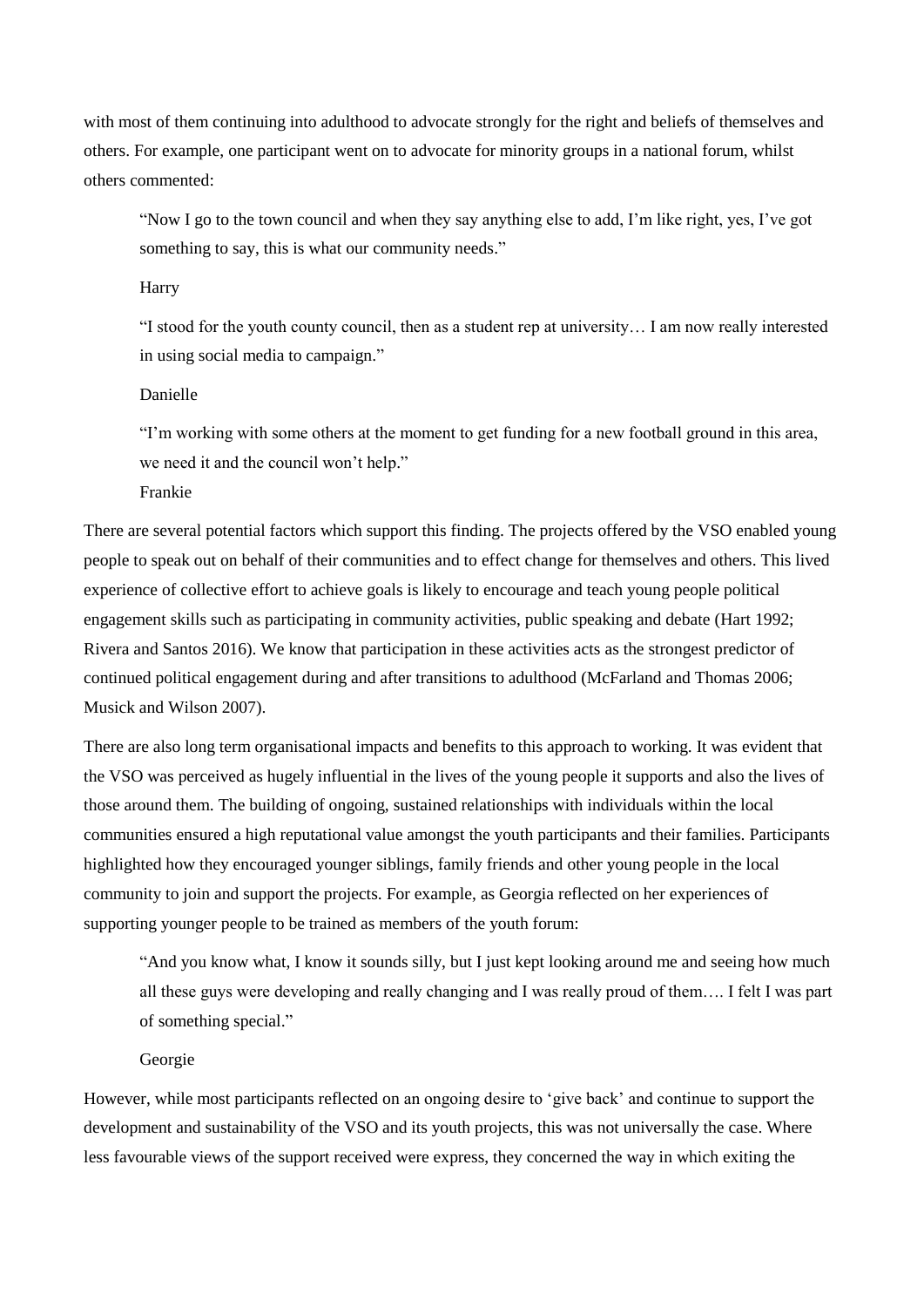with most of them continuing into adulthood to advocate strongly for the right and beliefs of themselves and others. For example, one participant went on to advocate for minority groups in a national forum, whilst others commented:

"Now I go to the town council and when they say anything else to add, I'm like right, yes, I've got something to say, this is what our community needs."

Harry

"I stood for the youth county council, then as a student rep at university… I am now really interested in using social media to campaign."

Danielle

"I'm working with some others at the moment to get funding for a new football ground in this area, we need it and the council won't help."

Frankie

There are several potential factors which support this finding. The projects offered by the VSO enabled young people to speak out on behalf of their communities and to effect change for themselves and others. This lived experience of collective effort to achieve goals is likely to encourage and teach young people political engagement skills such as participating in community activities, public speaking and debate (Hart 1992; Rivera and Santos 2016). We know that participation in these activities acts as the strongest predictor of continued political engagement during and after transitions to adulthood (McFarland and Thomas 2006; Musick and Wilson 2007).

There are also long term organisational impacts and benefits to this approach to working. It was evident that the VSO was perceived as hugely influential in the lives of the young people it supports and also the lives of those around them. The building of ongoing, sustained relationships with individuals within the local communities ensured a high reputational value amongst the youth participants and their families. Participants highlighted how they encouraged younger siblings, family friends and other young people in the local community to join and support the projects. For example, as Georgia reflected on her experiences of supporting younger people to be trained as members of the youth forum:

"And you know what, I know it sounds silly, but I just kept looking around me and seeing how much all these guys were developing and really changing and I was really proud of them…. I felt I was part of something special."

#### Georgie

However, while most participants reflected on an ongoing desire to 'give back' and continue to support the development and sustainability of the VSO and its youth projects, this was not universally the case. Where less favourable views of the support received were express, they concerned the way in which exiting the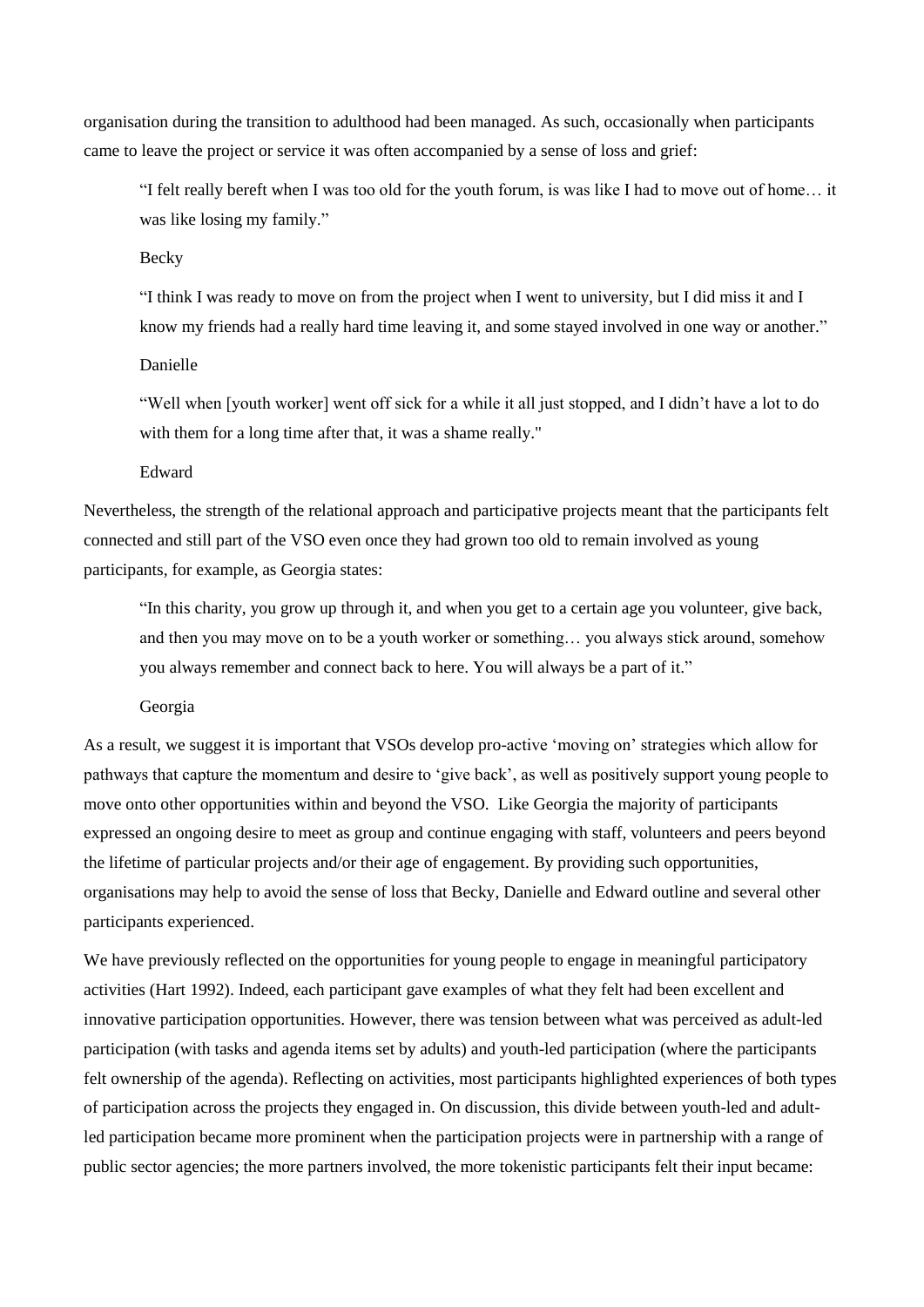organisation during the transition to adulthood had been managed. As such, occasionally when participants came to leave the project or service it was often accompanied by a sense of loss and grief:

"I felt really bereft when I was too old for the youth forum, is was like I had to move out of home… it was like losing my family."

Becky

"I think I was ready to move on from the project when I went to university, but I did miss it and I know my friends had a really hard time leaving it, and some stayed involved in one way or another."

#### Danielle

"Well when [youth worker] went off sick for a while it all just stopped, and I didn't have a lot to do with them for a long time after that, it was a shame really."

#### Edward

Nevertheless, the strength of the relational approach and participative projects meant that the participants felt connected and still part of the VSO even once they had grown too old to remain involved as young participants, for example, as Georgia states:

"In this charity, you grow up through it, and when you get to a certain age you volunteer, give back, and then you may move on to be a youth worker or something… you always stick around, somehow you always remember and connect back to here. You will always be a part of it."

#### Georgia

As a result, we suggest it is important that VSOs develop pro-active 'moving on' strategies which allow for pathways that capture the momentum and desire to 'give back', as well as positively support young people to move onto other opportunities within and beyond the VSO. Like Georgia the majority of participants expressed an ongoing desire to meet as group and continue engaging with staff, volunteers and peers beyond the lifetime of particular projects and/or their age of engagement. By providing such opportunities, organisations may help to avoid the sense of loss that Becky, Danielle and Edward outline and several other participants experienced.

We have previously reflected on the opportunities for young people to engage in meaningful participatory activities (Hart 1992). Indeed, each participant gave examples of what they felt had been excellent and innovative participation opportunities. However, there was tension between what was perceived as adult-led participation (with tasks and agenda items set by adults) and youth-led participation (where the participants felt ownership of the agenda). Reflecting on activities, most participants highlighted experiences of both types of participation across the projects they engaged in. On discussion, this divide between youth-led and adultled participation became more prominent when the participation projects were in partnership with a range of public sector agencies; the more partners involved, the more tokenistic participants felt their input became: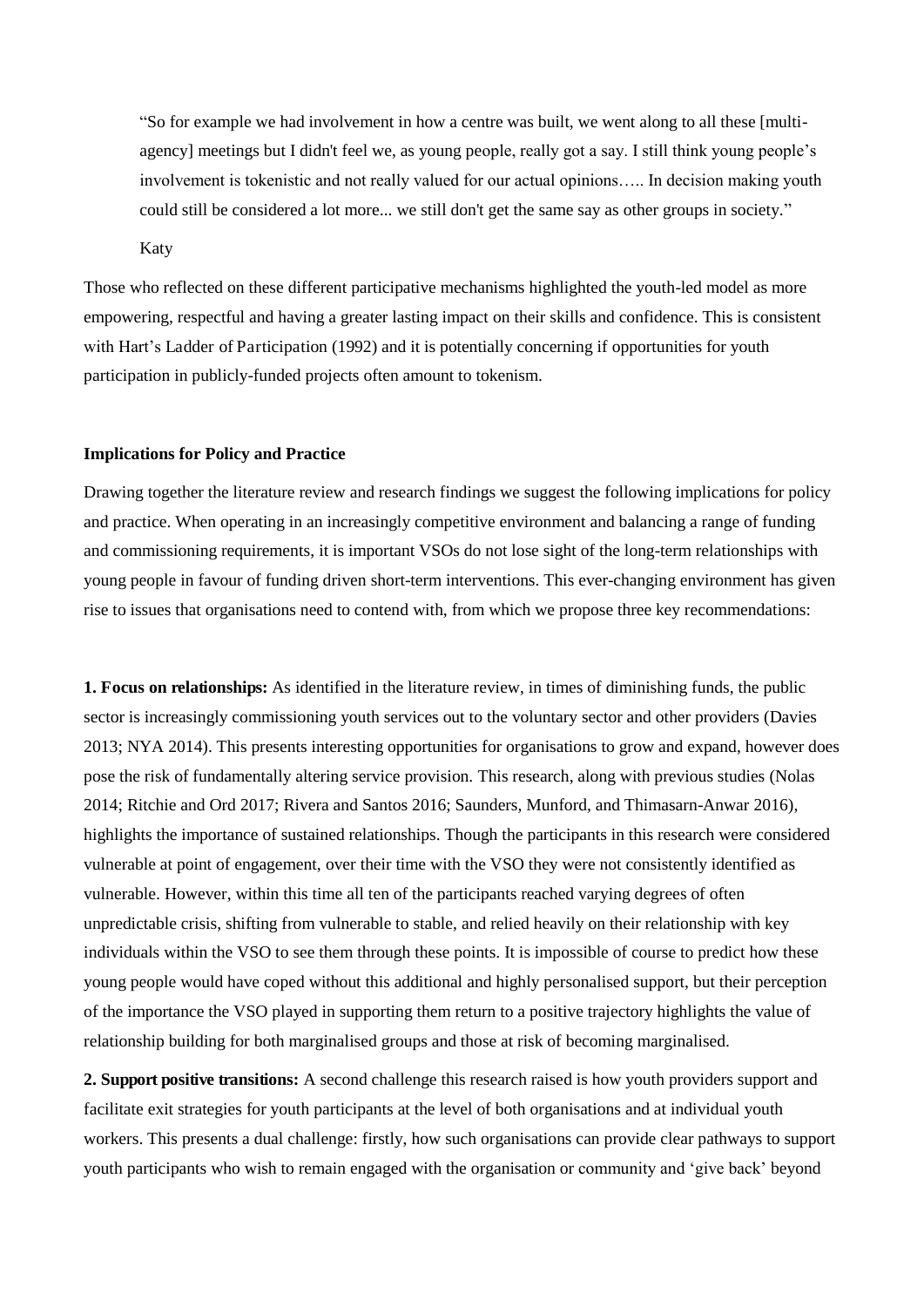"So for example we had involvement in how a centre was built, we went along to all these [multiagency] meetings but I didn't feel we, as young people, really got a say. I still think young people's involvement is tokenistic and not really valued for our actual opinions….. In decision making youth could still be considered a lot more... we still don't get the same say as other groups in society."

Katy

Those who reflected on these different participative mechanisms highlighted the youth-led model as more empowering, respectful and having a greater lasting impact on their skills and confidence. This is consistent with Hart's Ladder of Participation (1992) and it is potentially concerning if opportunities for youth participation in publicly-funded projects often amount to tokenism.

#### **Implications for Policy and Practice**

Drawing together the literature review and research findings we suggest the following implications for policy and practice. When operating in an increasingly competitive environment and balancing a range of funding and commissioning requirements, it is important VSOs do not lose sight of the long-term relationships with young people in favour of funding driven short-term interventions. This ever-changing environment has given rise to issues that organisations need to contend with, from which we propose three key recommendations:

**1. Focus on relationships:** As identified in the literature review, in times of diminishing funds, the public sector is increasingly commissioning youth services out to the voluntary sector and other providers (Davies 2013; NYA 2014). This presents interesting opportunities for organisations to grow and expand, however does pose the risk of fundamentally altering service provision. This research, along with previous studies (Nolas 2014; Ritchie and Ord 2017; Rivera and Santos 2016; Saunders, Munford, and Thimasarn-Anwar 2016), highlights the importance of sustained relationships. Though the participants in this research were considered vulnerable at point of engagement, over their time with the VSO they were not consistently identified as vulnerable. However, within this time all ten of the participants reached varying degrees of often unpredictable crisis, shifting from vulnerable to stable, and relied heavily on their relationship with key individuals within the VSO to see them through these points. It is impossible of course to predict how these young people would have coped without this additional and highly personalised support, but their perception of the importance the VSO played in supporting them return to a positive trajectory highlights the value of relationship building for both marginalised groups and those at risk of becoming marginalised.

**2. Support positive transitions:** A second challenge this research raised is how youth providers support and facilitate exit strategies for youth participants at the level of both organisations and at individual youth workers. This presents a dual challenge: firstly, how such organisations can provide clear pathways to support youth participants who wish to remain engaged with the organisation or community and 'give back' beyond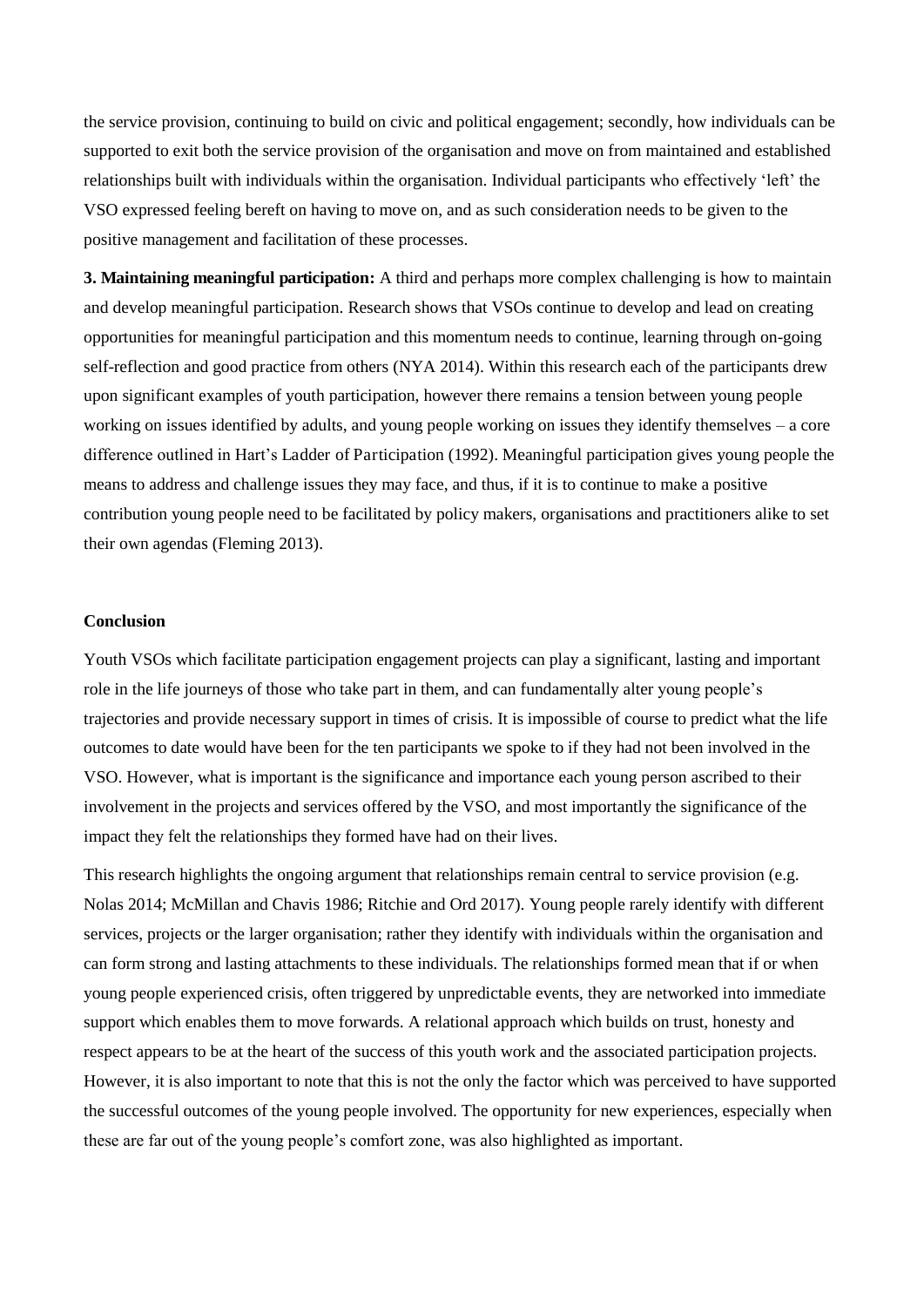the service provision, continuing to build on civic and political engagement; secondly, how individuals can be supported to exit both the service provision of the organisation and move on from maintained and established relationships built with individuals within the organisation. Individual participants who effectively 'left' the VSO expressed feeling bereft on having to move on, and as such consideration needs to be given to the positive management and facilitation of these processes.

**3. Maintaining meaningful participation:** A third and perhaps more complex challenging is how to maintain and develop meaningful participation. Research shows that VSOs continue to develop and lead on creating opportunities for meaningful participation and this momentum needs to continue, learning through on-going self-reflection and good practice from others (NYA 2014). Within this research each of the participants drew upon significant examples of youth participation, however there remains a tension between young people working on issues identified by adults, and young people working on issues they identify themselves – a core difference outlined in Hart's Ladder of Participation (1992). Meaningful participation gives young people the means to address and challenge issues they may face, and thus, if it is to continue to make a positive contribution young people need to be facilitated by policy makers, organisations and practitioners alike to set their own agendas (Fleming 2013).

#### **Conclusion**

Youth VSOs which facilitate participation engagement projects can play a significant, lasting and important role in the life journeys of those who take part in them, and can fundamentally alter young people's trajectories and provide necessary support in times of crisis. It is impossible of course to predict what the life outcomes to date would have been for the ten participants we spoke to if they had not been involved in the VSO. However, what is important is the significance and importance each young person ascribed to their involvement in the projects and services offered by the VSO, and most importantly the significance of the impact they felt the relationships they formed have had on their lives.

This research highlights the ongoing argument that relationships remain central to service provision (e.g. Nolas 2014; McMillan and Chavis 1986; Ritchie and Ord 2017). Young people rarely identify with different services, projects or the larger organisation; rather they identify with individuals within the organisation and can form strong and lasting attachments to these individuals. The relationships formed mean that if or when young people experienced crisis, often triggered by unpredictable events, they are networked into immediate support which enables them to move forwards. A relational approach which builds on trust, honesty and respect appears to be at the heart of the success of this youth work and the associated participation projects. However, it is also important to note that this is not the only the factor which was perceived to have supported the successful outcomes of the young people involved. The opportunity for new experiences, especially when these are far out of the young people's comfort zone, was also highlighted as important.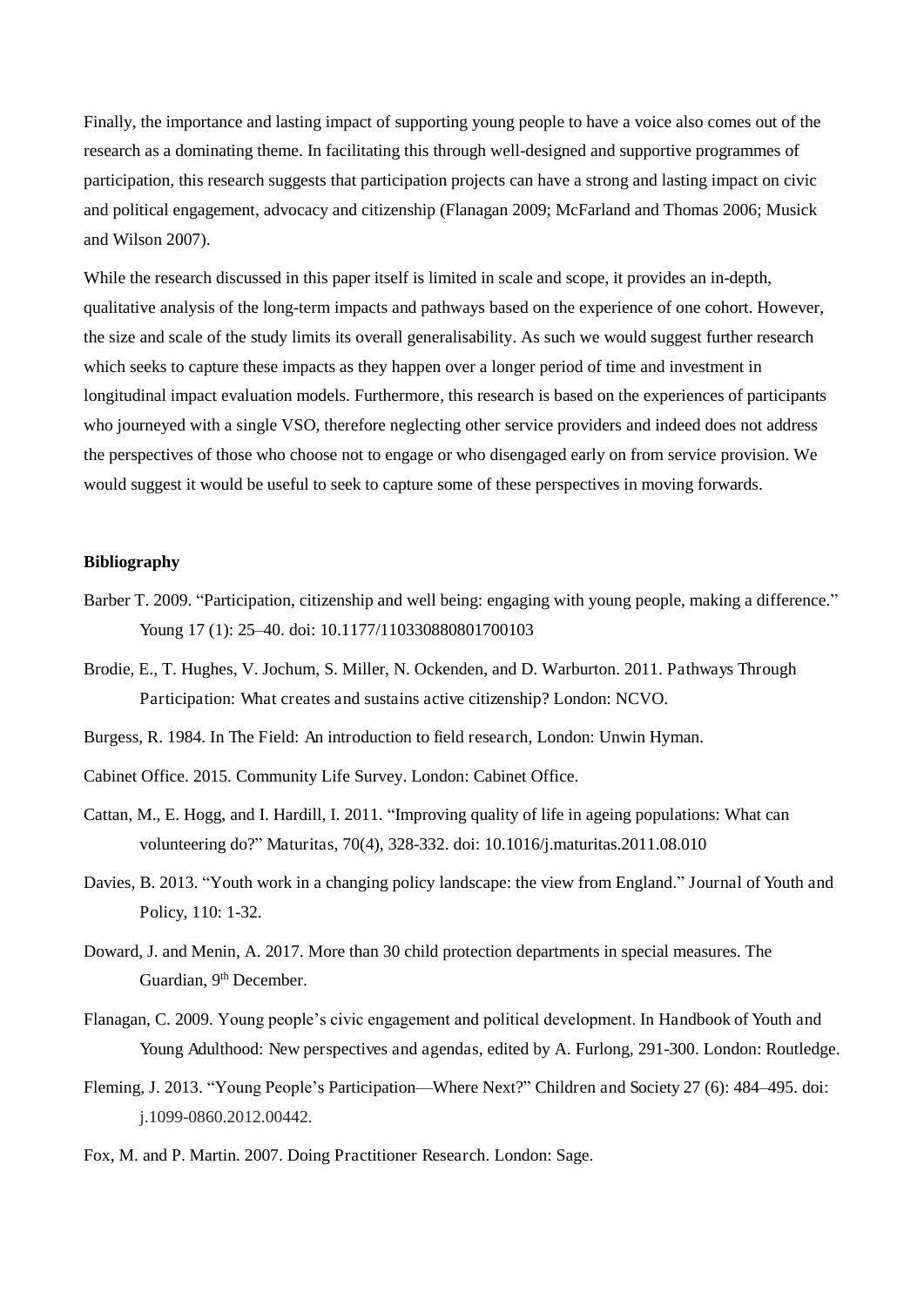Finally, the importance and lasting impact of supporting young people to have a voice also comes out of the research as a dominating theme. In facilitating this through well-designed and supportive programmes of participation, this research suggests that participation projects can have a strong and lasting impact on civic and political engagement, advocacy and citizenship (Flanagan 2009; McFarland and Thomas 2006; Musick and Wilson 2007).

While the research discussed in this paper itself is limited in scale and scope, it provides an in-depth, qualitative analysis of the long-term impacts and pathways based on the experience of one cohort. However, the size and scale of the study limits its overall generalisability. As such we would suggest further research which seeks to capture these impacts as they happen over a longer period of time and investment in longitudinal impact evaluation models. Furthermore, this research is based on the experiences of participants who journeyed with a single VSO, therefore neglecting other service providers and indeed does not address the perspectives of those who choose not to engage or who disengaged early on from service provision. We would suggest it would be useful to seek to capture some of these perspectives in moving forwards.

#### **Bibliography**

- Barber T. 2009. "Participation, citizenship and well being: engaging with young people, making a difference." Young 17 (1): 25–40. doi: 10.1177/110330880801700103
- Brodie, E., T. Hughes, V. Jochum, S. Miller, N. Ockenden, and D. Warburton. 2011. Pathways Through Participation: What creates and sustains active citizenship? London: NCVO.
- Burgess, R. 1984. In The Field: An introduction to field research, London: Unwin Hyman.
- Cabinet Office. 2015. Community Life Survey. London: Cabinet Office.
- Cattan, M., E. Hogg, and I. Hardill, I. 2011. "Improving quality of life in ageing populations: What can volunteering do?" Maturitas, 70(4), 328-332. doi: 10.1016/j.maturitas.2011.08.010
- Davies, B. 2013. "Youth work in a changing policy landscape: the view from England." Journal of Youth and Policy, 110: 1-32.
- Doward, J. and Menin, A. 2017. More than 30 child protection departments in special measures. The Guardian, 9<sup>th</sup> December.
- Flanagan, C. 2009. Young people's civic engagement and political development. In Handbook of Youth and Young Adulthood: New perspectives and agendas, edited by A. Furlong, 291-300. London: Routledge.
- Fleming, J. 2013. "Young People's Participation—Where Next?" Children and Society 27 (6): 484–495. doi: j.1099-0860.2012.00442.
- Fox, M. and P. Martin. 2007. Doing Practitioner Research. London: Sage.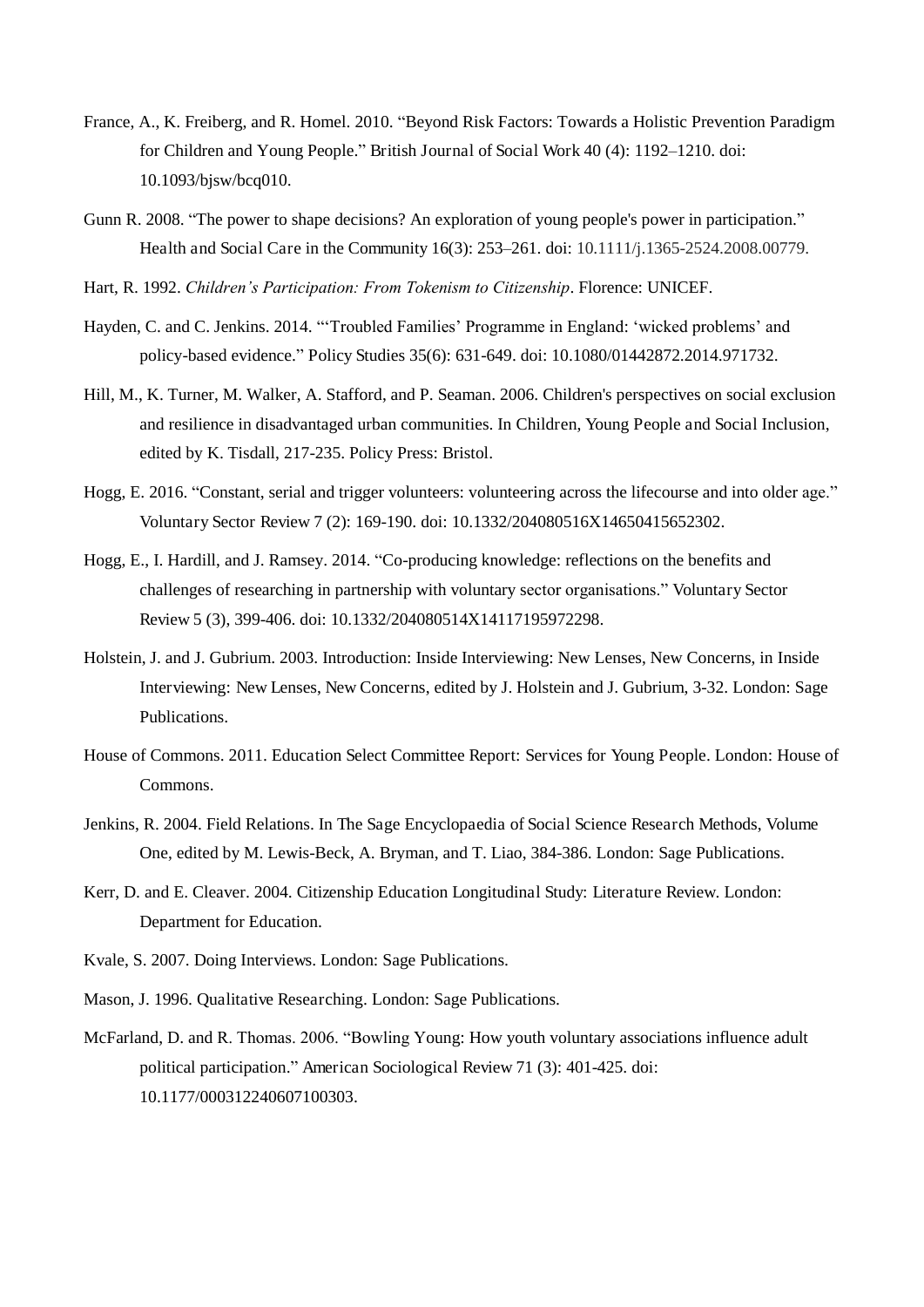- France, A., K. Freiberg, and R. Homel. 2010. "Beyond Risk Factors: Towards a Holistic Prevention Paradigm for Children and Young People." British Journal of Social Work 40 (4): 1192–1210. doi: 10.1093/bjsw/bcq010.
- Gunn R. 2008. "The power to shape decisions? An exploration of young people's power in participation." Health and Social Care in the Community 16(3): 253–261. doi: 10.1111/j.1365-2524.2008.00779.
- Hart, R. 1992. *Children's Participation: From Tokenism to Citizenship*. Florence: UNICEF.
- Hayden, C. and C. Jenkins. 2014. "'Troubled Families' Programme in England: 'wicked problems' and policy-based evidence." Policy Studies 35(6): 631-649. doi: 10.1080/01442872.2014.971732.
- Hill, M., K. Turner, M. Walker, A. Stafford, and P. Seaman. 2006. Children's perspectives on social exclusion and resilience in disadvantaged urban communities. In Children, Young People and Social Inclusion, edited by K. Tisdall, 217-235. Policy Press: Bristol.
- Hogg, E. 2016. "Constant, serial and trigger volunteers: volunteering across the lifecourse and into older age." Voluntary Sector Review 7 (2): 169-190. doi: 10.1332/204080516X14650415652302.
- Hogg, E., I. Hardill, and J. Ramsey. 2014. "Co-producing knowledge: reflections on the benefits and challenges of researching in partnership with voluntary sector organisations." Voluntary Sector Review 5 (3), 399-406. doi: 10.1332/204080514X14117195972298.
- Holstein, J. and J. Gubrium. 2003. Introduction: Inside Interviewing: New Lenses, New Concerns, in Inside Interviewing: New Lenses, New Concerns, edited by J. Holstein and J. Gubrium, 3-32. London: Sage Publications.
- House of Commons. 2011. Education Select Committee Report: Services for Young People. London: House of Commons.
- Jenkins, R. 2004. Field Relations. In The Sage Encyclopaedia of Social Science Research Methods, Volume One, edited by M. Lewis-Beck, A. Bryman, and T. Liao, 384-386. London: Sage Publications.
- Kerr, D. and E. Cleaver. 2004. Citizenship Education Longitudinal Study: Literature Review. London: Department for Education.
- Kvale, S. 2007. Doing Interviews. London: Sage Publications.
- Mason, J. 1996. Qualitative Researching. London: Sage Publications.
- McFarland, D. and R. Thomas. 2006. "Bowling Young: How youth voluntary associations influence adult political participation." American Sociological Review 71 (3): 401-425. doi: 10.1177/000312240607100303.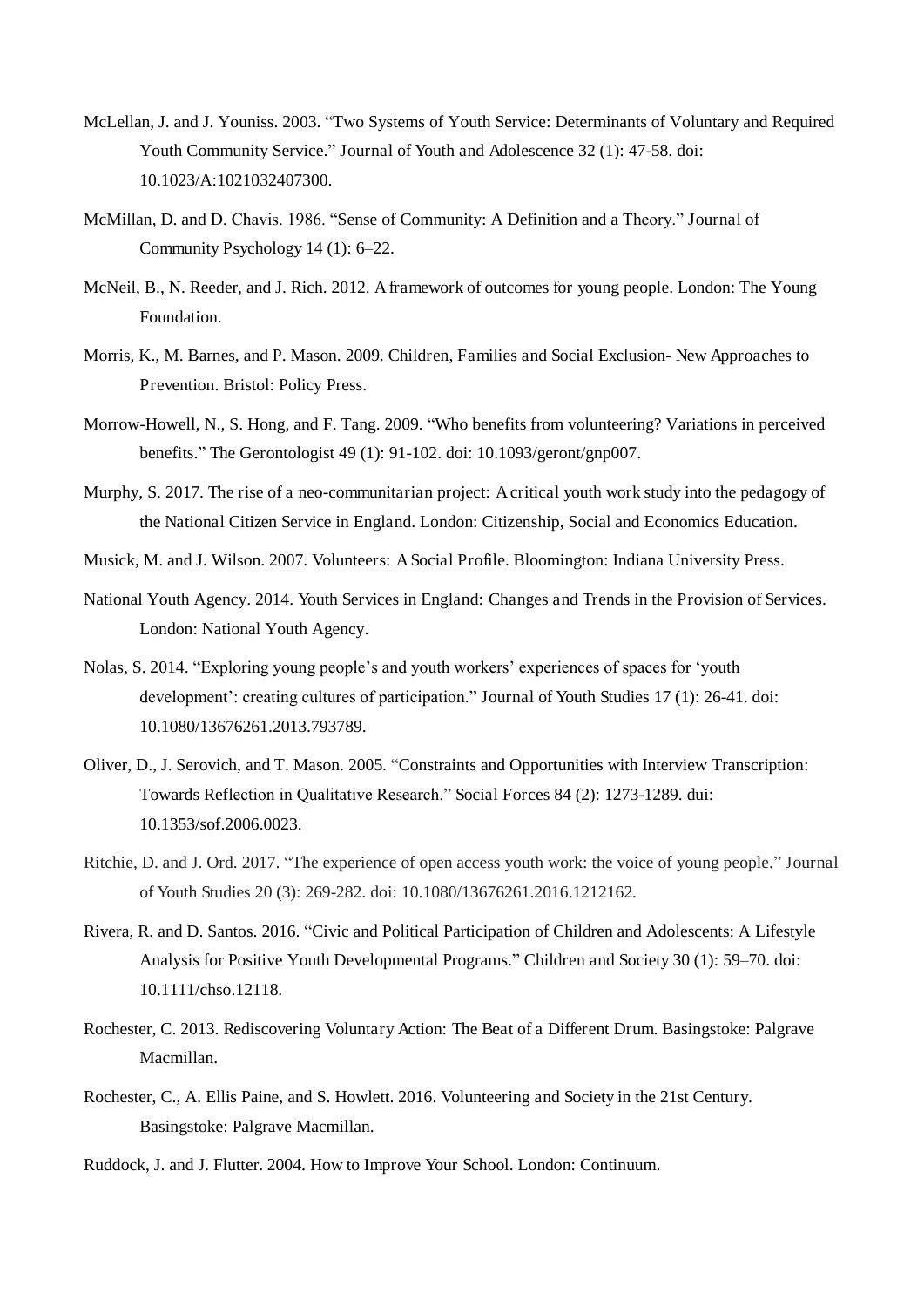- McLellan, J. and J. Youniss. 2003. "Two Systems of Youth Service: Determinants of Voluntary and Required Youth Community Service." Journal of Youth and Adolescence 32 (1): 47-58. doi: 10.1023/A:1021032407300.
- McMillan, D. and D. Chavis. 1986. "Sense of Community: A Definition and a Theory." Journal of Community Psychology 14 (1): 6–22.
- McNeil, B., N. Reeder, and J. Rich. 2012. A framework of outcomes for young people. London: The Young Foundation.
- Morris, K., M. Barnes, and P. Mason. 2009. Children, Families and Social Exclusion- New Approaches to Prevention. Bristol: Policy Press.
- Morrow-Howell, N., S. Hong, and F. Tang. 2009. "Who benefits from volunteering? Variations in perceived benefits." The Gerontologist 49 (1): 91-102. doi: 10.1093/geront/gnp007.
- Murphy, S. 2017. The rise of a neo-communitarian project: A critical youth work study into the pedagogy of the National Citizen Service in England. London: Citizenship, Social and Economics Education.
- Musick, M. and J. Wilson. 2007. Volunteers: A Social Profile. Bloomington: Indiana University Press.
- National Youth Agency. 2014. Youth Services in England: Changes and Trends in the Provision of Services. London: National Youth Agency.
- Nolas, S. 2014. "Exploring young people's and youth workers' experiences of spaces for 'youth development': creating cultures of participation." Journal of Youth Studies 17 (1): 26-41. doi: 10.1080/13676261.2013.793789.
- Oliver, D., J. Serovich, and T. Mason. 2005. "Constraints and Opportunities with Interview Transcription: Towards Reflection in Qualitative Research." Social Forces 84 (2): 1273-1289. dui: 10.1353/sof.2006.0023.
- Ritchie, D. and J. Ord. 2017. "The experience of open access youth work: the voice of young people." Journal of Youth Studies 20 (3): 269-282. doi: 10.1080/13676261.2016.1212162.
- Rivera, R. and D. Santos. 2016. "Civic and Political Participation of Children and Adolescents: A Lifestyle Analysis for Positive Youth Developmental Programs." Children and Society 30 (1): 59–70. doi: 10.1111/chso.12118.
- Rochester, C. 2013. Rediscovering Voluntary Action: The Beat of a Different Drum. Basingstoke: Palgrave Macmillan.
- Rochester, C., A. Ellis Paine, and S. Howlett. 2016. Volunteering and Society in the 21st Century. Basingstoke: Palgrave Macmillan.
- Ruddock, J. and J. Flutter. 2004. How to Improve Your School. London: Continuum.